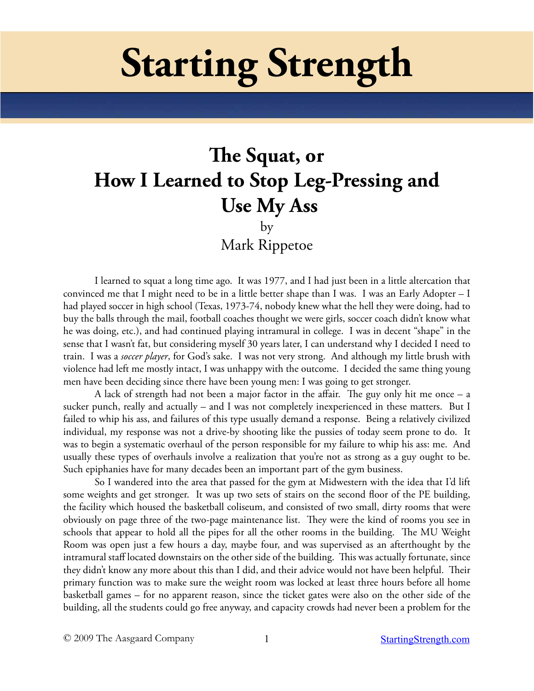# **Starting Strength**

## **The Squat, or How I Learned to Stop Leg-Pressing and Use My Ass**

by

Mark Rippetoe

I learned to squat a long time ago. It was 1977, and I had just been in a little altercation that convinced me that I might need to be in a little better shape than I was. I was an Early Adopter – I had played soccer in high school (Texas, 1973-74, nobody knew what the hell they were doing, had to buy the balls through the mail, football coaches thought we were girls, soccer coach didn't know what he was doing, etc.), and had continued playing intramural in college. I was in decent "shape" in the sense that I wasn't fat, but considering myself 30 years later, I can understand why I decided I need to train. I was a *soccer player*, for God's sake. I was not very strong. And although my little brush with violence had left me mostly intact, I was unhappy with the outcome. I decided the same thing young men have been deciding since there have been young men: I was going to get stronger.

A lack of strength had not been a major factor in the affair. The guy only hit me once – a sucker punch, really and actually – and I was not completely inexperienced in these matters. But I failed to whip his ass, and failures of this type usually demand a response. Being a relatively civilized individual, my response was not a drive-by shooting like the pussies of today seem prone to do. It was to begin a systematic overhaul of the person responsible for my failure to whip his ass: me. And usually these types of overhauls involve a realization that you're not as strong as a guy ought to be. Such epiphanies have for many decades been an important part of the gym business.

So I wandered into the area that passed for the gym at Midwestern with the idea that I'd lift some weights and get stronger. It was up two sets of stairs on the second floor of the PE building, the facility which housed the basketball coliseum, and consisted of two small, dirty rooms that were obviously on page three of the two-page maintenance list. They were the kind of rooms you see in schools that appear to hold all the pipes for all the other rooms in the building. The MU Weight Room was open just a few hours a day, maybe four, and was supervised as an afterthought by the intramural staff located downstairs on the other side of the building. This was actually fortunate, since they didn't know any more about this than I did, and their advice would not have been helpful. Their primary function was to make sure the weight room was locked at least three hours before all home basketball games – for no apparent reason, since the ticket gates were also on the other side of the building, all the students could go free anyway, and capacity crowds had never been a problem for the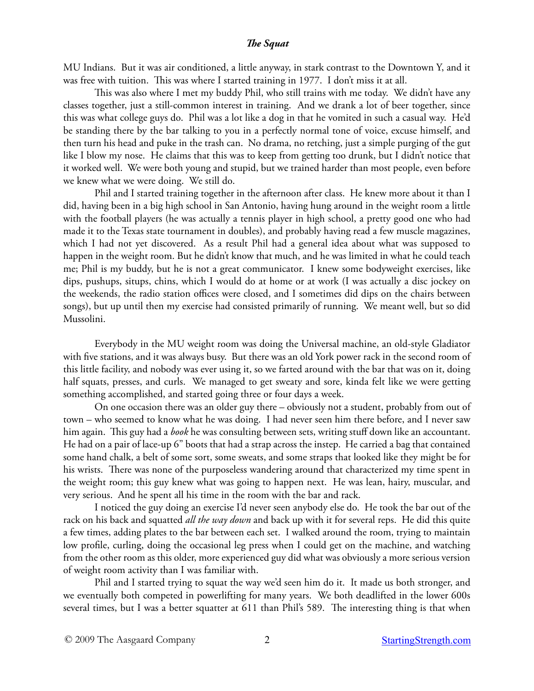MU Indians. But it was air conditioned, a little anyway, in stark contrast to the Downtown Y, and it was free with tuition. This was where I started training in 1977. I don't miss it at all.

This was also where I met my buddy Phil, who still trains with me today. We didn't have any classes together, just a still-common interest in training. And we drank a lot of beer together, since this was what college guys do. Phil was a lot like a dog in that he vomited in such a casual way. He'd be standing there by the bar talking to you in a perfectly normal tone of voice, excuse himself, and then turn his head and puke in the trash can. No drama, no retching, just a simple purging of the gut like I blow my nose. He claims that this was to keep from getting too drunk, but I didn't notice that it worked well. We were both young and stupid, but we trained harder than most people, even before we knew what we were doing. We still do.

Phil and I started training together in the afternoon after class. He knew more about it than I did, having been in a big high school in San Antonio, having hung around in the weight room a little with the football players (he was actually a tennis player in high school, a pretty good one who had made it to the Texas state tournament in doubles), and probably having read a few muscle magazines, which I had not yet discovered. As a result Phil had a general idea about what was supposed to happen in the weight room. But he didn't know that much, and he was limited in what he could teach me; Phil is my buddy, but he is not a great communicator. I knew some bodyweight exercises, like dips, pushups, situps, chins, which I would do at home or at work (I was actually a disc jockey on the weekends, the radio station offices were closed, and I sometimes did dips on the chairs between songs), but up until then my exercise had consisted primarily of running. We meant well, but so did Mussolini.

Everybody in the MU weight room was doing the Universal machine, an old-style Gladiator with five stations, and it was always busy. But there was an old York power rack in the second room of this little facility, and nobody was ever using it, so we farted around with the bar that was on it, doing half squats, presses, and curls. We managed to get sweaty and sore, kinda felt like we were getting something accomplished, and started going three or four days a week.

On one occasion there was an older guy there – obviously not a student, probably from out of town – who seemed to know what he was doing. I had never seen him there before, and I never saw him again. This guy had a *book* he was consulting between sets, writing stuff down like an accountant. He had on a pair of lace-up 6" boots that had a strap across the instep. He carried a bag that contained some hand chalk, a belt of some sort, some sweats, and some straps that looked like they might be for his wrists. There was none of the purposeless wandering around that characterized my time spent in the weight room; this guy knew what was going to happen next. He was lean, hairy, muscular, and very serious. And he spent all his time in the room with the bar and rack.

I noticed the guy doing an exercise I'd never seen anybody else do. He took the bar out of the rack on his back and squatted *all the way down* and back up with it for several reps. He did this quite a few times, adding plates to the bar between each set. I walked around the room, trying to maintain low profile, curling, doing the occasional leg press when I could get on the machine, and watching from the other room as this older, more experienced guy did what was obviously a more serious version of weight room activity than I was familiar with.

Phil and I started trying to squat the way we'd seen him do it. It made us both stronger, and we eventually both competed in powerlifting for many years. We both deadlifted in the lower 600s several times, but I was a better squatter at 611 than Phil's 589. The interesting thing is that when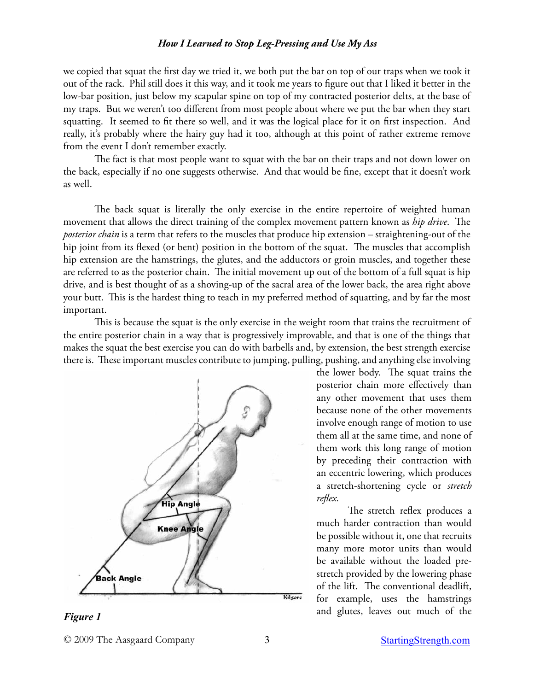we copied that squat the first day we tried it, we both put the bar on top of our traps when we took it out of the rack. Phil still does it this way, and it took me years to figure out that I liked it better in the low-bar position, just below my scapular spine on top of my contracted posterior delts, at the base of my traps. But we weren't too different from most people about where we put the bar when they start squatting. It seemed to fit there so well, and it was the logical place for it on first inspection. And really, it's probably where the hairy guy had it too, although at this point of rather extreme remove from the event I don't remember exactly.

The fact is that most people want to squat with the bar on their traps and not down lower on the back, especially if no one suggests otherwise. And that would be fine, except that it doesn't work as well.

The back squat is literally the only exercise in the entire repertoire of weighted human movement that allows the direct training of the complex movement pattern known as *hip drive*. The *posterior chain* is a term that refers to the muscles that produce hip extension – straightening-out of the hip joint from its flexed (or bent) position in the bottom of the squat. The muscles that accomplish hip extension are the hamstrings, the glutes, and the adductors or groin muscles, and together these are referred to as the posterior chain. The initial movement up out of the bottom of a full squat is hip drive, and is best thought of as a shoving-up of the sacral area of the lower back, the area right above your butt. This is the hardest thing to teach in my preferred method of squatting, and by far the most important.

This is because the squat is the only exercise in the weight room that trains the recruitment of the entire posterior chain in a way that is progressively improvable, and that is one of the things that makes the squat the best exercise you can do with barbells and, by extension, the best strength exercise there is. These important muscles contribute to jumping, pulling, pushing, and anything else involving



*Figure 1*

the lower body. The squat trains the posterior chain more effectively than any other movement that uses them because none of the other movements involve enough range of motion to use them all at the same time, and none of them work this long range of motion by preceding their contraction with an eccentric lowering, which produces a stretch-shortening cycle or *stretch reflex.* 

The stretch reflex produces a much harder contraction than would be possible without it, one that recruits many more motor units than would be available without the loaded prestretch provided by the lowering phase of the lift. The conventional deadlift, for example, uses the hamstrings and glutes, leaves out much of the

<sup>© 2009</sup> The Aasgaard Company 3 [StartingStrength.com](http://StartingStrength.com)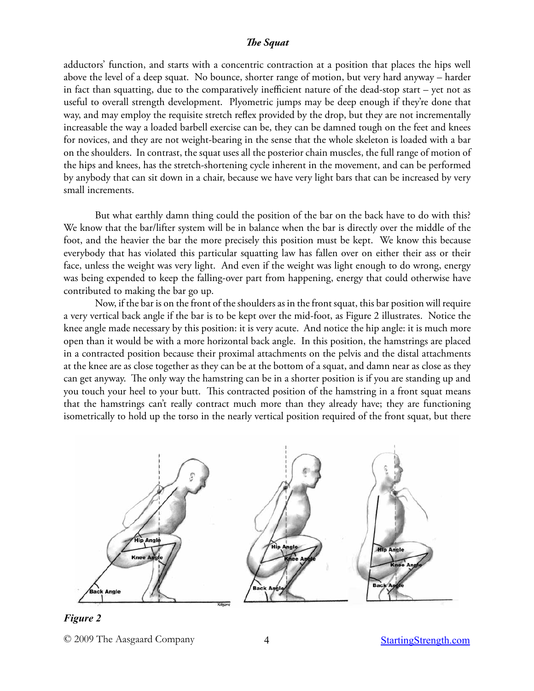adductors' function, and starts with a concentric contraction at a position that places the hips well above the level of a deep squat. No bounce, shorter range of motion, but very hard anyway – harder in fact than squatting, due to the comparatively inefficient nature of the dead-stop start – yet not as useful to overall strength development. Plyometric jumps may be deep enough if they're done that way, and may employ the requisite stretch reflex provided by the drop, but they are not incrementally increasable the way a loaded barbell exercise can be, they can be damned tough on the feet and knees for novices, and they are not weight-bearing in the sense that the whole skeleton is loaded with a bar on the shoulders. In contrast, the squat uses all the posterior chain muscles, the full range of motion of the hips and knees, has the stretch-shortening cycle inherent in the movement, and can be performed by anybody that can sit down in a chair, because we have very light bars that can be increased by very small increments.

But what earthly damn thing could the position of the bar on the back have to do with this? We know that the bar/lifter system will be in balance when the bar is directly over the middle of the foot, and the heavier the bar the more precisely this position must be kept. We know this because everybody that has violated this particular squatting law has fallen over on either their ass or their face, unless the weight was very light. And even if the weight was light enough to do wrong, energy was being expended to keep the falling-over part from happening, energy that could otherwise have contributed to making the bar go up.

Now, if the bar is on the front of the shoulders as in the front squat, this bar position will require a very vertical back angle if the bar is to be kept over the mid-foot, as Figure 2 illustrates. Notice the knee angle made necessary by this position: it is very acute. And notice the hip angle: it is much more open than it would be with a more horizontal back angle. In this position, the hamstrings are placed in a contracted position because their proximal attachments on the pelvis and the distal attachments at the knee are as close together as they can be at the bottom of a squat, and damn near as close as they can get anyway. The only way the hamstring can be in a shorter position is if you are standing up and you touch your heel to your butt. This contracted position of the hamstring in a front squat means that the hamstrings can't really contract much more than they already have; they are functioning isometrically to hold up the torso in the nearly vertical position required of the front squat, but there



*Figure 2*

© 2009 The Aasgaard Company 4 [StartingStrength.com](http://StartingStrength.com)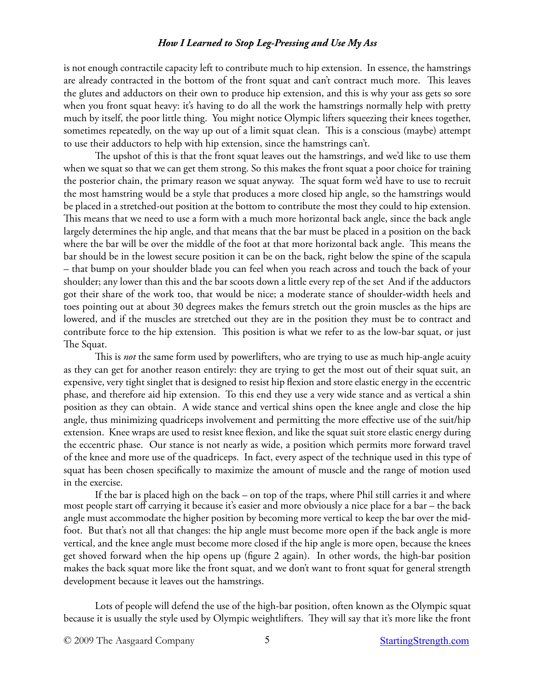is not enough contractile capacity left to contribute much to hip extension. In essence, the hamstrings are already contracted in the bottom of the front squat and can't contract much more. This leaves the glutes and adductors on their own to produce hip extension, and this is why your ass gets so sore when you front squat heavy: it's having to do all the work the hamstrings normally help with pretty much by itself, the poor little thing. You might notice Olympic lifters squeezing their knees together, sometimes repeatedly, on the way up out of a limit squat clean. This is a conscious (maybe) attempt to use their adductors to help with hip extension, since the hamstrings can't.

The upshot of this is that the front squat leaves out the hamstrings, and we'd like to use them when we squat so that we can get them strong. So this makes the front squat a poor choice for training the posterior chain, the primary reason we squat anyway. The squat form we'd have to use to recruit the most hamstring would be a style that produces a more closed hip angle, so the hamstrings would be placed in a stretched-out position at the bottom to contribute the most they could to hip extension. This means that we need to use a form with a much more horizontal back angle, since the back angle largely determines the hip angle, and that means that the bar must be placed in a position on the back where the bar will be over the middle of the foot at that more horizontal back angle. This means the bar should be in the lowest secure position it can be on the back, right below the spine of the scapula – that bump on your shoulder blade you can feel when you reach across and touch the back of your shoulder; any lower than this and the bar scoots down a little every rep of the set And if the adductors got their share of the work too, that would be nice; a moderate stance of shoulder-width heels and toes pointing out at about 30 degrees makes the femurs stretch out the groin muscles as the hips are lowered, and if the muscles are stretched out they are in the position they must be to contract and contribute force to the hip extension. This position is what we refer to as the low-bar squat, or just The Squat.

This is *not* the same form used by powerlifters, who are trying to use as much hip-angle acuity as they can get for another reason entirely: they are trying to get the most out of their squat suit, an expensive, very tight singlet that is designed to resist hip flexion and store elastic energy in the eccentric phase, and therefore aid hip extension. To this end they use a very wide stance and as vertical a shin position as they can obtain. A wide stance and vertical shins open the knee angle and close the hip angle, thus minimizing quadriceps involvement and permitting the more effective use of the suit/hip extension. Knee wraps are used to resist knee flexion, and like the squat suit store elastic energy during the eccentric phase. Our stance is not nearly as wide, a position which permits more forward travel of the knee and more use of the quadriceps. In fact, every aspect of the technique used in this type of squat has been chosen specifically to maximize the amount of muscle and the range of motion used in the exercise.

If the bar is placed high on the back – on top of the traps, where Phil still carries it and where most people start off carrying it because it's easier and more obviously a nice place for a bar – the back angle must accommodate the higher position by becoming more vertical to keep the bar over the midfoot. But that's not all that changes: the hip angle must become more open if the back angle is more vertical, and the knee angle must become more closed if the hip angle is more open, because the knees get shoved forward when the hip opens up (figure 2 again). In other words, the high-bar position makes the back squat more like the front squat, and we don't want to front squat for general strength development because it leaves out the hamstrings.

Lots of people will defend the use of the high-bar position, often known as the Olympic squat because it is usually the style used by Olympic weightlifters. They will say that it's more like the front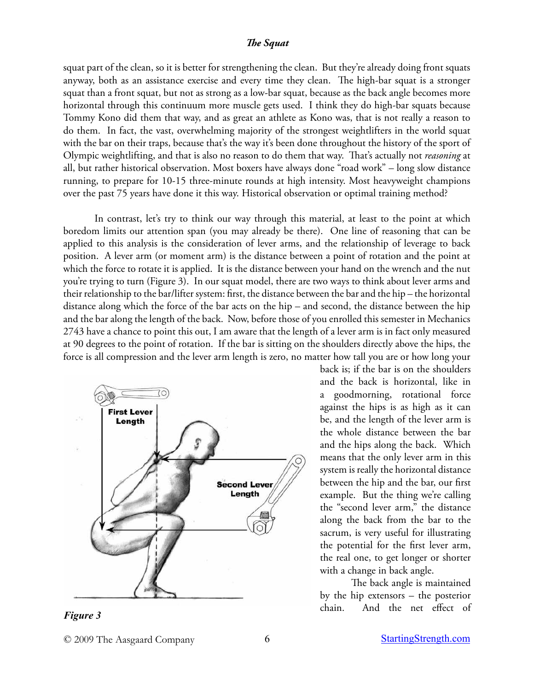squat part of the clean, so it is better for strengthening the clean. But they're already doing front squats anyway, both as an assistance exercise and every time they clean. The high-bar squat is a stronger squat than a front squat, but not as strong as a low-bar squat, because as the back angle becomes more horizontal through this continuum more muscle gets used. I think they do high-bar squats because Tommy Kono did them that way, and as great an athlete as Kono was, that is not really a reason to do them. In fact, the vast, overwhelming majority of the strongest weightlifters in the world squat with the bar on their traps, because that's the way it's been done throughout the history of the sport of Olympic weightlifting, and that is also no reason to do them that way. That's actually not *reasoning* at all, but rather historical observation. Most boxers have always done "road work" – long slow distance running, to prepare for 10-15 three-minute rounds at high intensity. Most heavyweight champions over the past 75 years have done it this way. Historical observation or optimal training method?

In contrast, let's try to think our way through this material, at least to the point at which boredom limits our attention span (you may already be there). One line of reasoning that can be applied to this analysis is the consideration of lever arms, and the relationship of leverage to back position. A lever arm (or moment arm) is the distance between a point of rotation and the point at which the force to rotate it is applied. It is the distance between your hand on the wrench and the nut you're trying to turn (Figure 3). In our squat model, there are two ways to think about lever arms and their relationship to the bar/lifter system: first, the distance between the bar and the hip – the horizontal distance along which the force of the bar acts on the hip – and second, the distance between the hip and the bar along the length of the back. Now, before those of you enrolled this semester in Mechanics 2743 have a chance to point this out, I am aware that the length of a lever arm is in fact only measured at 90 degrees to the point of rotation. If the bar is sitting on the shoulders directly above the hips, the force is all compression and the lever arm length is zero, no matter how tall you are or how long your



*Figure 3*

back is; if the bar is on the shoulders and the back is horizontal, like in a goodmorning, rotational force against the hips is as high as it can be, and the length of the lever arm is the whole distance between the bar and the hips along the back. Which means that the only lever arm in this system is really the horizontal distance between the hip and the bar, our first example. But the thing we're calling the "second lever arm," the distance along the back from the bar to the sacrum, is very useful for illustrating the potential for the first lever arm, the real one, to get longer or shorter with a change in back angle.

The back angle is maintained by the hip extensors – the posterior chain. And the net effect of

<sup>© 2009</sup> The Aasgaard Company 6 6 [StartingStrength.com](http://StartingStrength.com)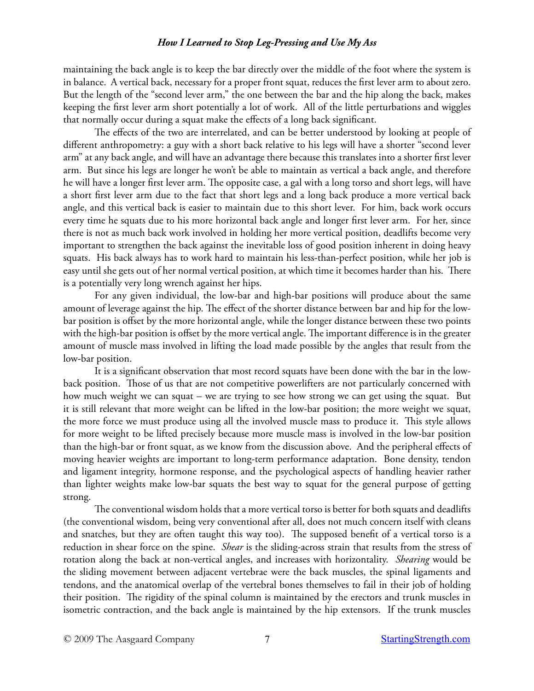maintaining the back angle is to keep the bar directly over the middle of the foot where the system is in balance. A vertical back, necessary for a proper front squat, reduces the first lever arm to about zero. But the length of the "second lever arm," the one between the bar and the hip along the back, makes keeping the first lever arm short potentially a lot of work. All of the little perturbations and wiggles that normally occur during a squat make the effects of a long back significant.

The effects of the two are interrelated, and can be better understood by looking at people of different anthropometry: a guy with a short back relative to his legs will have a shorter "second lever arm" at any back angle, and will have an advantage there because this translates into a shorter first lever arm. But since his legs are longer he won't be able to maintain as vertical a back angle, and therefore he will have a longer first lever arm. The opposite case, a gal with a long torso and short legs, will have a short first lever arm due to the fact that short legs and a long back produce a more vertical back angle, and this vertical back is easier to maintain due to this short lever. For him, back work occurs every time he squats due to his more horizontal back angle and longer first lever arm. For her, since there is not as much back work involved in holding her more vertical position, deadlifts become very important to strengthen the back against the inevitable loss of good position inherent in doing heavy squats. His back always has to work hard to maintain his less-than-perfect position, while her job is easy until she gets out of her normal vertical position, at which time it becomes harder than his. There is a potentially very long wrench against her hips.

For any given individual, the low-bar and high-bar positions will produce about the same amount of leverage against the hip. The effect of the shorter distance between bar and hip for the lowbar position is offset by the more horizontal angle, while the longer distance between these two points with the high-bar position is offset by the more vertical angle. The important difference is in the greater amount of muscle mass involved in lifting the load made possible by the angles that result from the low-bar position.

It is a significant observation that most record squats have been done with the bar in the lowback position. Those of us that are not competitive powerlifters are not particularly concerned with how much weight we can squat – we are trying to see how strong we can get using the squat. But it is still relevant that more weight can be lifted in the low-bar position; the more weight we squat, the more force we must produce using all the involved muscle mass to produce it. This style allows for more weight to be lifted precisely because more muscle mass is involved in the low-bar position than the high-bar or front squat, as we know from the discussion above. And the peripheral effects of moving heavier weights are important to long-term performance adaptation. Bone density, tendon and ligament integrity, hormone response, and the psychological aspects of handling heavier rather than lighter weights make low-bar squats the best way to squat for the general purpose of getting strong.

The conventional wisdom holds that a more vertical torso is better for both squats and deadlifts (the conventional wisdom, being very conventional after all, does not much concern itself with cleans and snatches, but they are often taught this way too). The supposed benefit of a vertical torso is a reduction in shear force on the spine. *Shear* is the sliding-across strain that results from the stress of rotation along the back at non-vertical angles, and increases with horizontality. *Shearing* would be the sliding movement between adjacent vertebrae were the back muscles, the spinal ligaments and tendons, and the anatomical overlap of the vertebral bones themselves to fail in their job of holding their position. The rigidity of the spinal column is maintained by the erectors and trunk muscles in isometric contraction, and the back angle is maintained by the hip extensors. If the trunk muscles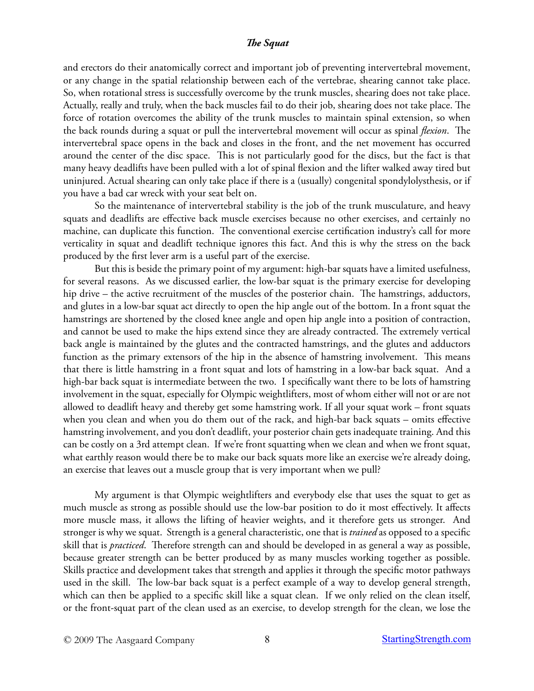and erectors do their anatomically correct and important job of preventing intervertebral movement, or any change in the spatial relationship between each of the vertebrae, shearing cannot take place. So, when rotational stress is successfully overcome by the trunk muscles, shearing does not take place. Actually, really and truly, when the back muscles fail to do their job, shearing does not take place. The force of rotation overcomes the ability of the trunk muscles to maintain spinal extension, so when the back rounds during a squat or pull the intervertebral movement will occur as spinal *flexion*. The intervertebral space opens in the back and closes in the front, and the net movement has occurred around the center of the disc space. This is not particularly good for the discs, but the fact is that many heavy deadlifts have been pulled with a lot of spinal flexion and the lifter walked away tired but uninjured. Actual shearing can only take place if there is a (usually) congenital spondylolysthesis, or if you have a bad car wreck with your seat belt on.

So the maintenance of intervertebral stability is the job of the trunk musculature, and heavy squats and deadlifts are effective back muscle exercises because no other exercises, and certainly no machine, can duplicate this function. The conventional exercise certification industry's call for more verticality in squat and deadlift technique ignores this fact. And this is why the stress on the back produced by the first lever arm is a useful part of the exercise.

But this is beside the primary point of my argument: high-bar squats have a limited usefulness, for several reasons. As we discussed earlier, the low-bar squat is the primary exercise for developing hip drive – the active recruitment of the muscles of the posterior chain. The hamstrings, adductors, and glutes in a low-bar squat act directly to open the hip angle out of the bottom. In a front squat the hamstrings are shortened by the closed knee angle and open hip angle into a position of contraction, and cannot be used to make the hips extend since they are already contracted. The extremely vertical back angle is maintained by the glutes and the contracted hamstrings, and the glutes and adductors function as the primary extensors of the hip in the absence of hamstring involvement. This means that there is little hamstring in a front squat and lots of hamstring in a low-bar back squat. And a high-bar back squat is intermediate between the two. I specifically want there to be lots of hamstring involvement in the squat, especially for Olympic weightlifters, most of whom either will not or are not allowed to deadlift heavy and thereby get some hamstring work. If all your squat work – front squats when you clean and when you do them out of the rack, and high-bar back squats – omits effective hamstring involvement, and you don't deadlift, your posterior chain gets inadequate training. And this can be costly on a 3rd attempt clean. If we're front squatting when we clean and when we front squat, what earthly reason would there be to make our back squats more like an exercise we're already doing, an exercise that leaves out a muscle group that is very important when we pull?

My argument is that Olympic weightlifters and everybody else that uses the squat to get as much muscle as strong as possible should use the low-bar position to do it most effectively. It affects more muscle mass, it allows the lifting of heavier weights, and it therefore gets us stronger. And stronger is why we squat. Strength is a general characteristic, one that is *trained* as opposed to a specific skill that is *practiced*. Therefore strength can and should be developed in as general a way as possible, because greater strength can be better produced by as many muscles working together as possible. Skills practice and development takes that strength and applies it through the specific motor pathways used in the skill. The low-bar back squat is a perfect example of a way to develop general strength, which can then be applied to a specific skill like a squat clean. If we only relied on the clean itself, or the front-squat part of the clean used as an exercise, to develop strength for the clean, we lose the